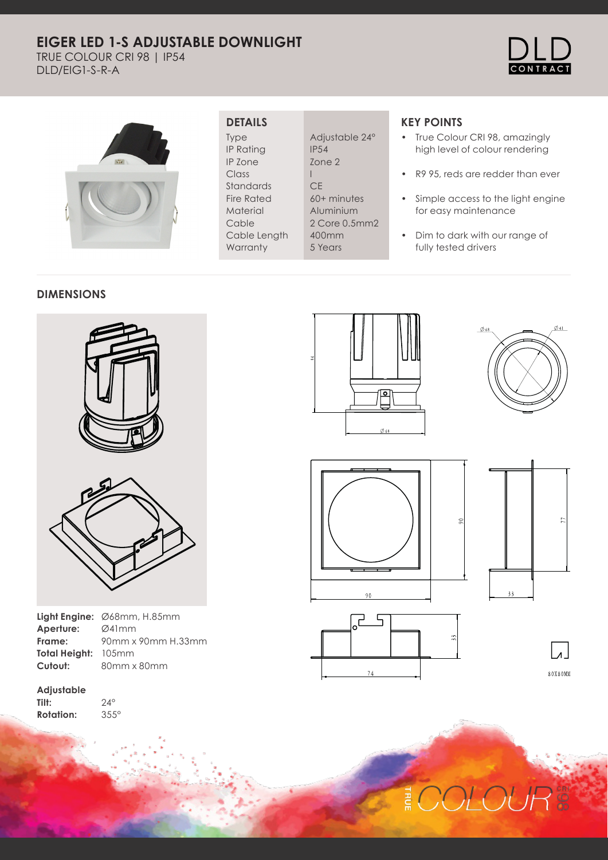# **EIGER LED 1-S ADJUSTABLE DOWNLIGHT**

TRUE COLOUR CRI 98 | IP54 DLD/EIG1-S-R-A





## **DETAILS**

Type IP Rating IP Zone Class Standards Fire Rated Material Cable Cable Length **Warranty** 

Adjustable 24° IP54 Zone 2 I **CE** 60+ minutes Aluminium 2 Core 0.5mm2 400mm 5 Years

## **KEY POINTS**

- True Colour CRI 98, amazingly high level of colour rendering
- R9 95, reds are redder than ever
- Simple access to the light engine for easy maintenance
- Dim to dark with our range of fully tested drivers

## **DIMENSIONS**





|                     | <b>Light Engine:</b> $\emptyset$ 68mm, H.85mm |
|---------------------|-----------------------------------------------|
| Aperture:           | Ø41mm                                         |
| Frame:              | 90mm x 90mm H.33mm                            |
| Total Height: 105mm |                                               |
| Cutout:             | 80mm x 80mm                                   |

**Adjustable Tilt: Rotation:**

24° 355°













**DLOUI** 쿋